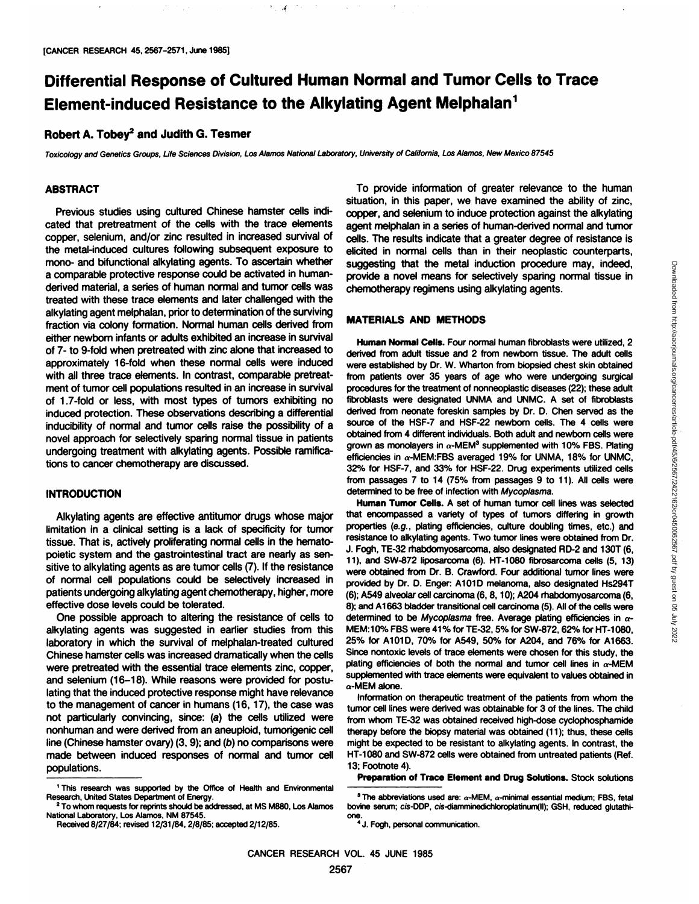# **Differential Response of Cultured Human Normal and Tumor Cells to Trace Element-induced Resistance to the Alkylating Agent Melphalan1**

## **Robert A. Tobey2 and Judith G. Tesmer**

Toxicology and Genetics Groups, Life Sciences Division, Los Alamos National Laboratory, University of California, Los Alamos, New Mexico 87545

 $^{\circ}$  .  $\mathcal{L}$ 

## **ABSTRACT**

Previous studies using cultured Chinese hamster cells indi cated that pretreatment of the cells with the trace elements copper, selenium, and/or zinc resulted in increased survival of the metal-induced cultures following subsequent exposure to mono- and bifunctional alkylating agents. To ascertain whether a comparable protective response could be activated in humanderived material, a series of human normal and tumor cells was treated with these trace elements and later challenged with the alkylating agent melphalan, prior to determination of the surviving fraction via colony formation. Normal human cells derived from either newborn infants or adults exhibited an increase in survival of 7- to 9-fold when pretreated with zinc alone that increased to approximately 16-fold when these normal cells were induced with all three trace elements. In contrast, comparable pretreat ment of tumor cell populations resulted in an increase in survival of 1.7-fold or less, with most types of tumors exhibiting no induced protection. These observations describing a differential inducibility of normal and tumor cells raise the possibility of a novel approach for selectively sparing normal tissue in patients undergoing treatment with alkylating agents. Possible ramifica tions to cancer chemotherapy are discussed.

#### **INTRODUCTION**

Alkylating agents are effective antitumor drugs whose major limitation in a clinical setting is a lack of specificity for tumor tissue. That is, actively proliferating normal cells in the hematopoietic system and the gastrointestinal tract are nearly as sen sitive to alkylating agents as are tumor cells (7). If the resistance of normal cell populations could be selectively increased in patients undergoing alkylating agent chemotherapy, higher, more effective dose levels could be tolerated.

One possible approach to altering the resistance of cells to alkylating agents was suggested in earlier studies from this laboratory in which the survival of melphalan-treated cultured Chinese hamster cells was increased dramatically when the cells were pretreated with the essential trace elements zinc, copper, and selenium (16-18). While reasons were provided for postu lating that the induced protective response might have relevance to the management of cancer in humans (16,17), the case was not particularly convincing, since: (a) the cells utilized were nonhuman and were derived from an aneuploid, tumorigenic cell line (Chinese hamster ovary)  $(3, 9)$ ; and  $(b)$  no comparisons were made between induced responses of normal and tumor cell populations.

To provide information of greater relevance to the human situation, in this paper, we have examined the ability of zinc, copper, and selenium to induce protection against the alkylating agent melphalan in a series of human-derived normal and tumor cells. The results indicate that a greater degree of resistance is elicited in normal cells than in their neoplastic counterparts, suggesting that the metal induction procedure may, indeed, chemotherapy regimens using alkylating agents.

### **MATERIALS AND METHODS**

suggesting that the metal induction procedure may, indeed,<br>provide a novel means for selectively sparing normal tissue in<br>chemultissue in<br>chemultissue is controlled any selectively sparing normal tissue in<br>turnan Normal Ce **Human Normal Cells. Four normal human fibroblasts were utilized, 2** derived from adult tissue and 2 from newborn tissue. The adult cells were established by Dr. W. Wharton from biopsied chest skin obtained from patients over 35 years of age who were undergoing surgical procedures for the treatment of nonneoplastic diseases (22); these adult fibroblasts were designated UNMA and UNMC. A set of fibroblasts derived from neonate foreskin samples by Dr. D. Chen served as the source of the HSF-7 and HSF-22 newborn cells. The 4 cells were obtained from 4 different individuals. Both adult and newborn cells were grown as monolayers in  $\alpha$ -MEM<sup>3</sup> supplemented with 10% FBS. Plating efficiencies in  $\alpha$ -MEM:FBS averaged 19% for UNMA, 18% for UNMC, 32% for HSF-7, and 33% for HSF-22. Drug experiments utilized cells from passages 7 to 14 (75% from passages 9 to 11). All cells were determined to be free of infection with Mycoplasma.

**Human Tumor Cells. A set of human tumor cell lines was selected** that encompassed a variety of types of tumors differing in growth properties (e.g., plating efficiencies, culture doubling times, etc.) and resistance to alkylating agents. Two tumor lines were obtained from Dr. J. Fogh, TE-32 rhabdomyosarcoma, also designated RD-2 and 130T (6, 11), and SW-872 liposarcoma (6). HT-1080 fibrosarcoma cells (5, 13) were obtained from Dr. B. Crawford. Four additional tumor lines were provided by Dr. D. Enger: A101D melanoma, also designated Hs294T (6); A549 alveolar cell carcinoma (6,8,10); A204 rhabdomyosarcoma (6, 8); and A1663 bladder transitional cell carcinoma (5). All of the cells were determined to be Mycoplasma free. Average plating efficiencies in  $\alpha$ -MEM:10% FBS were 41% for TE-32,5% for SW-872, 62% for HT-1080, 25% for A101D, 70% for A549, 50% for A204, and 76% for A1663. Since nontoxic levels of trace elements were chosen for this study, the plating efficiencies of both the normal and tumor cell lines in  $\alpha$ -MEM supplemented with trace elements were equivalent to values obtained in  $\alpha$ -MEM alone.

Information on therapeutic treatment of the patients from whom the tumor cell lines were derived was obtainable for 3 of the lines. The child from whom TE-32 was obtained received high-dose cyclophosphamide therapy before the biopsy material was obtained (11); thus, these cells might be expected to be resistant to alkylating agents. In contrast, the HT-1080 and SW-872 cells were obtained from untreated patients (Ref. 13; Footnote 4).

**Preparation of Trace Element and Drug Solutions. Stock solutions**

<sup>1</sup>This research was supported by the Office of Health and Environmental Research, United States Department of Energy.<br><sup>2</sup>To whom requests for reprints should be addressed, at MS M880, Los Alamos

National Laboratory, Los Alamos. NM 87545.

Received 8/27/84; revised 12/31/84,2/8/85; accepted 2/12/85.

<sup>&</sup>lt;sup>3</sup> The abbreviations used are:  $\alpha$ -MEM,  $\alpha$ -minimal essential medium; FBS, fetal bovine serum; cis-DDP, cis-diamminedichloroplatinum(II); GSH, reduced glutathione.<br><sup>4</sup>J. Fogh, personal communication.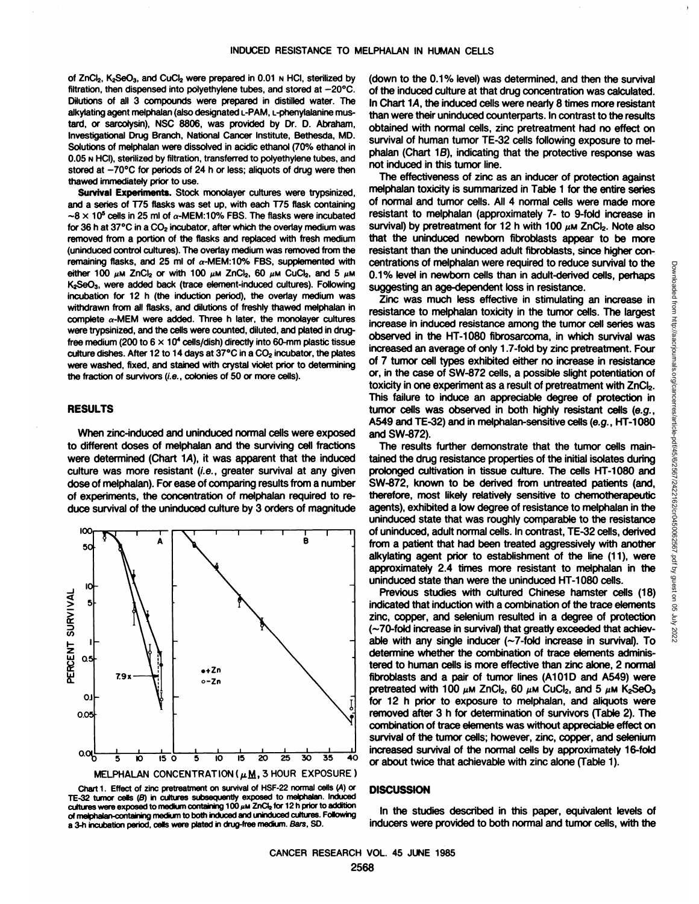of ZnCl<sub>2</sub>, K<sub>2</sub>SeO<sub>3</sub>, and CuCl<sub>2</sub> were prepared in 0.01  $\mu$  HCI, sterilized by filtration, then dispensed into polyethylene tubes, and stored at  $-20^{\circ}$ C. Dilutions of all 3 compounds were prepared in distilled water. The alkylating agent melphalan (also designated L-PAM, L-phenylalanine mustard, or sarcoiysin). NSC 8806, was provided by Dr. D. Abraham, Investigational Drug Branch, National Cancer Institute, Bethesda, MD. Solutions of melphalan were dissolved in acidic ethanol (70% ethanol in 0.05 N HCI), sterilized by filtration, transferred to polyethylene tubes, and stored at  $-70^{\circ}$ C for periods of 24 h or less; aliquots of drug were then thawed immediately prior to use.

**Survival Experiments. Stock monolayercultureswere trypsinized,** and a series of T75 flasks was set up, with each T75 flask containing  $\sim$ 8 x 10<sup>5</sup> cells in 25 ml of  $\alpha$ -MEM:10% FBS. The flasks were incubated for 36 h at  $37^{\circ}$ C in a CO<sub>2</sub> incubator, after which the overlay medium was removed from a portion of the flasks and replaced with fresh medium (uninduced control cultures). The overlay medium was removed from the remaining flasks, and 25 ml of  $\alpha$ -MEM:10% FBS, supplemented with either 100  $\mu$ m ZnCl<sub>2</sub> or with 100  $\mu$ m ZnCl<sub>2</sub>, 60  $\mu$ m CuCl<sub>2</sub>, and 5  $\mu$ m K<sub>2</sub>SeO<sub>3</sub>, were added back (trace element-induced cultures). Following incubation for 12 h (the induction period), the overlay medium was withdrawn from all flasks, and dilutions of freshly thawed melphalan in complete  $\alpha$ -MEM were added. Three h later, the monolayer cultures were trypsinized, and the cells were counted, diluted, and plated in drugfree medium (200 to  $6 \times 10^4$  cells/dish) directly into 60-mm plastic tissue culture dishes. After 12 to 14 days at 37°C in a CO<sub>2</sub> incubator, the plates were washed, fixed, and stained with crystal violet prior to determining the fraction of survivors (i.e., colonies of 50 or more cells).

### **RESULTS**

When zinc-induced and uninduced normal cells were exposed to different doses of melphalan and the surviving cell fractions were determined (Chart 1A), it was apparent that the induced culture was more resistant (i.e., greater survival at any given dose of melphalan). For ease of comparing results from a number of experiments, the concentration of melphalan required to re duce survival of the uninduced culture by 3 orders of magnitude



TE-32 tumor cellis (*B*) in cultures subsequently exposed to melphalan. Induced with a straining system of the straining for the straining for the straining for the straining for the straining  $\sim$ of melphalan-containing medium to both induced and uninduced cultures. Following a 3-h incubation period, cells were plated in drug-free medium. Bars, SO.

(down to the 0.1% level) was determined, and then the survival of the induced culture at that drug concentration was calculated. In Chart 1A, the induced cells were nearly 8 times more resistant than were their uninduced counterparts. In contrast to the results obtained with normal cells, zinc pretreatment had no effect on survival of human tumor TE-32 cells following exposure to mel phalan (Chart 18), indicating that the protective response was not induced in this tumor line.

The effectiveness of zinc as an inducer of protection against melphalan toxicity is summarized in Table 1 for the entire series of normal and tumor cells. All 4 normal cells were made more resistant to melphalan (approximately 7- to 9-fold increase in survival) by pretreatment for 12 h with 100  $\mu$ m ZnCl<sub>2</sub>. Note also that the uninduced newborn fibroblasts appear to be more resistant than the uninduced adult fibroblasts, since higher con 0.1% level in newborn cells than in adult-derived cells, perhaps suggesting an age-dependent loss in resistance.

centrations of melphalan were required to reduce survival to the<br>
suggesting an age-dependent loss in resistance.<br>
Zinc was much less effective in stimulating an increase in<br>
resistance comelphalan toxicity in the tumor ce Zinc was much less effective in stimulating an increase in resistance to melphalan toxicity in the tumor cells. The largest increase in induced resistance among the tumor cell series was observed in the HT-1080 fibrosarcoma, in which survival was increased an average of only 1.7-fold by zinc pretreatment. Four of 7 tumor cell types exhibited either no increase in resistance or, in the case of SW-872 cells, a possible slight potentiation of toxicity in one experiment as a result of pretreatment with ZnCI<sub>2</sub>. This failure to induce an appreciable degree of protection in tumor cells was observed in both highly resistant cells (e.g., A549 and TE-32) and in melphalan-sensitive cells (e.g., HT-1080 and SW-872).

The results further demonstrate that the tumor cells main tained the drug resistance properties of the initial isolates during prolonged cultivation in tissue culture. The cells HT-1080 and SW-872, known to be derived from untreated patients (and, therefore, most likely relatively sensitive to chemotherapeutic agents), exhibited a low degree of resistance to melphalan in the uninduced state that was roughly comparable to the resistance of uninduced, adult normal cells. In contrast, TE-32 cells, derived from a patient that had been treated aggressively with another alkylating agent prior to establishment of the line (11), were approximately 2.4 times more resistant to melphalan in the uninduced state than were the uninduced HT-1080 cells.

Previous studies with cultured Chinese hamster cells (18) indicated that induction with a combination of the trace elements zinc, copper, and selenium resulted in a degree of protection  $\sum_{n=1}^{\infty}$ <br>(~70-fold increase in survival) that greatly exceeded that achiev-<br>able with any single inducer (~7.fold increase in survival). To (~70-fold increase in survival) that greatly exceeded that achiev able with any single inducer (~7-fold increase in survival). To determine whether the combination of trace elements adminis tered to human cells is more effective than zinc alone, 2 normal fibroblasts and a pair of tumor lines (A101D and A549) were pretreated with 100  $\mu$ m ZnCl<sub>2</sub>, 60  $\mu$ m CuCl<sub>2</sub>, and 5  $\mu$ m K<sub>2</sub>SeO<sub>3</sub> for 12 h prior to exposure to melphalan, and aliquots were removed after 3 h for determination of survivors (Table 2). The combination of trace elements was without appreciable effect on survival of the tumor cells; however, zinc, copper, and selenium increased survival of the normal cells by approximately 16-fold or about twice that achievable with zinc alone (Table 1).

## **DISCUSSION**

In the studies described in this paper, equivalent levels of inducers were provided to both normal and tumor cells, with the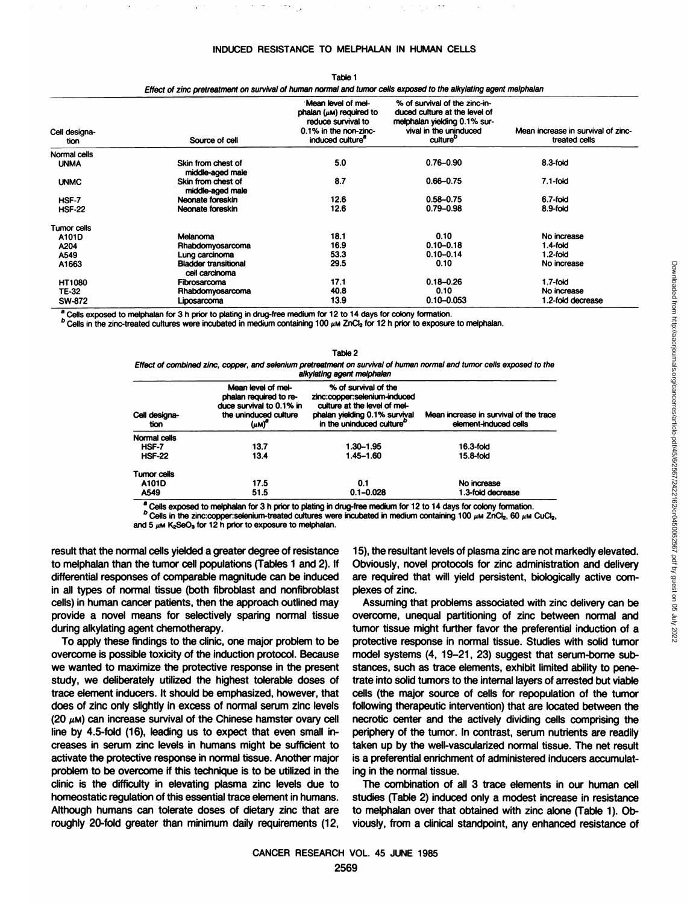| Cell designa-<br>tion | Source of cell                         | Mean level of mel-<br>phalan $(\mu \mathsf{M})$ required to<br>reduce survival to<br>0.1% in the non-zinc-<br>induced culture" | % of survival of the zinc-in-<br>duced culture at the level of<br>melphalan yielding 0.1% sur-<br>vival in the uninduced<br>culture" | Mean increase in survival of zinc-<br>treated cells |
|-----------------------|----------------------------------------|--------------------------------------------------------------------------------------------------------------------------------|--------------------------------------------------------------------------------------------------------------------------------------|-----------------------------------------------------|
| Normal cells          |                                        |                                                                                                                                |                                                                                                                                      |                                                     |
| <b>UNMA</b>           | Skin from chest of<br>middle-aged male | 5.0                                                                                                                            | $0.76 - 0.90$                                                                                                                        | 8.3-fold                                            |
| <b>UNMC</b>           | Skin from chest of<br>middle-aged male | 8.7                                                                                                                            | $0.66 - 0.75$                                                                                                                        | $7.1$ -fold                                         |
| HSF-7                 | Neonate foreskin                       | 12.6                                                                                                                           | $0.58 - 0.75$                                                                                                                        | 6.7-fold                                            |
| <b>HSF-22</b>         | Neonate foreskin                       | 12.6                                                                                                                           | $0.79 - 0.98$                                                                                                                        | 8.9-fold                                            |
| Tumor cells           |                                        |                                                                                                                                |                                                                                                                                      |                                                     |
| A101D                 | Melanoma                               | 18.1                                                                                                                           | 0.10                                                                                                                                 | No increase                                         |
| A204                  | Rhabdomyosarcoma                       | 16.9                                                                                                                           | $0.10 - 0.18$                                                                                                                        | $1.4$ -fold                                         |
| A549                  | Lung carcinoma                         | 53.3                                                                                                                           | $0.10 - 0.14$                                                                                                                        | $1.2$ -fold                                         |
| A1663                 | <b>Bladder transitional</b>            | 29.5                                                                                                                           | 0.10                                                                                                                                 | No increase                                         |
|                       | cell carcinoma                         |                                                                                                                                |                                                                                                                                      |                                                     |
| HT1080                | Fibrosarcoma                           | 17.1                                                                                                                           | $0.18 - 0.26$                                                                                                                        | $1.7$ -fold                                         |
| TE-32                 | Rhabdomyosarcoma                       | 40.8                                                                                                                           | 0.10                                                                                                                                 | No increase                                         |
| SW-872                | Liposarcoma                            | 13.9                                                                                                                           | $0.10 - 0.053$                                                                                                                       | 1.2-fold decrease                                   |

Table 1 Effect of zinc pretreatment on survival of human normal and tumor cells exposed to the alkylating agent melphalan

Cells exposed to melphalan for 3 h prior to plating in drug-free medium for 12 to 14 days for colony formation.

 $^D$  Cells in the zinc-treated cultures were incubated in medium containing 100  $\mu$ m ZnCl<sub>2</sub> for 12 h prior to exposure to melphalan.

|                                 | <b>Bladder transitional</b>                                                                                                                  | 29.5                                                                                                                                                                                                                                                                            | 0.10                                   | No increase                                                                                                                                                                                  |
|---------------------------------|----------------------------------------------------------------------------------------------------------------------------------------------|---------------------------------------------------------------------------------------------------------------------------------------------------------------------------------------------------------------------------------------------------------------------------------|----------------------------------------|----------------------------------------------------------------------------------------------------------------------------------------------------------------------------------------------|
|                                 | cell carcinoma<br>Fibrosarcoma                                                                                                               | 17.1                                                                                                                                                                                                                                                                            | $0.18 - 0.26$                          | $1.7$ -fold                                                                                                                                                                                  |
| Rhabdomyosarcoma<br>Liposarcoma |                                                                                                                                              | 40.8                                                                                                                                                                                                                                                                            | 0.10                                   | No increase                                                                                                                                                                                  |
|                                 |                                                                                                                                              | 13.9                                                                                                                                                                                                                                                                            | $0.10 - 0.053$                         | 1.2-fold decrease                                                                                                                                                                            |
|                                 |                                                                                                                                              | melphalan for 3 h prior to plating in drug-free medium for 12 to 14 days for colony formation.                                                                                                                                                                                  |                                        |                                                                                                                                                                                              |
|                                 |                                                                                                                                              | treated cultures were incubated in medium containing 100 $\mu$ M ZnCl, for 12 h prior to exposure to melphalan.                                                                                                                                                                 |                                        |                                                                                                                                                                                              |
|                                 |                                                                                                                                              |                                                                                                                                                                                                                                                                                 |                                        |                                                                                                                                                                                              |
|                                 |                                                                                                                                              | Table 2                                                                                                                                                                                                                                                                         |                                        |                                                                                                                                                                                              |
|                                 |                                                                                                                                              | Effect of combined zinc, copper, and selenium pretreatment on survival of human normal and tumor cells exposed to the<br>alkylating agent melphalan                                                                                                                             |                                        |                                                                                                                                                                                              |
| Cell designa-                   | Mean level of mel-<br>phalan required to re-<br>duce survival to 0.1% in<br>the uninduced culture                                            | % of survival of the<br>zinc:copper:selenium-induced<br>culture at the level of mel-<br>phalan yielding 0.1% survival                                                                                                                                                           | Mean increase in survival of the trace |                                                                                                                                                                                              |
| tion                            | $(\mu M)^n$                                                                                                                                  | in the uninduced culture <sup>o</sup>                                                                                                                                                                                                                                           | element-induced cells                  |                                                                                                                                                                                              |
| Normal cells                    |                                                                                                                                              |                                                                                                                                                                                                                                                                                 |                                        |                                                                                                                                                                                              |
| <b>HSF-7</b>                    | 13.7                                                                                                                                         | 1.30-1.95                                                                                                                                                                                                                                                                       | 16.3-fold                              |                                                                                                                                                                                              |
| <b>HSF-22</b>                   | 13.4                                                                                                                                         | $1.45 - 1.60$                                                                                                                                                                                                                                                                   | 15.8-fold                              |                                                                                                                                                                                              |
| <b>Tumor cells</b>              |                                                                                                                                              |                                                                                                                                                                                                                                                                                 |                                        |                                                                                                                                                                                              |
| A101D                           | 17.5                                                                                                                                         | 0.1                                                                                                                                                                                                                                                                             | No increase                            |                                                                                                                                                                                              |
| A549                            | 51.5                                                                                                                                         | $0.1 - 0.028$                                                                                                                                                                                                                                                                   | 1.3-fold decrease                      |                                                                                                                                                                                              |
|                                 | and 5 $\mu$ M K <sub>2</sub> SeO <sub>3</sub> for 12 h prior to exposure to melphalan.<br>ormal cells yielded a greater degree of resistance | a Cells exposed to melphalan for 3 h prior to plating in drug-free medium for 12 to 14 days for colony formation.<br>$^D$ Cells in the zinc:copper:selenium-treated cultures were incubated in medium containing 100 $\mu$ M ZnCl <sub>2</sub> , 60 $\mu$ M CuCl <sub>2</sub> , |                                        | 15), the resultant levels of plasma zinc are not markedly elevated.                                                                                                                          |
|                                 | an the tumor cell populations (Tables 1 and 2). If                                                                                           |                                                                                                                                                                                                                                                                                 |                                        | Obviously, novel protocols for zinc administration and delivery                                                                                                                              |
|                                 | onses of comparable magnitude can be induced                                                                                                 |                                                                                                                                                                                                                                                                                 |                                        | are required that will yield persistent, biologically active com-                                                                                                                            |
|                                 | formal tissue (both fibroblast and nonfibroblast                                                                                             | plexes of zinc.                                                                                                                                                                                                                                                                 |                                        |                                                                                                                                                                                              |
| agent chemotherapy.             | cancer patients, then the approach outlined may<br>means for selectively sparing normal tissue                                               |                                                                                                                                                                                                                                                                                 |                                        | Assuming that problems associated with zinc delivery can be<br>overcome, unequal partitioning of zinc between normal and<br>tumor tissue might further favor the preferential induction of a |
|                                 | o findingo to the olinie, and maior problem to be                                                                                            |                                                                                                                                                                                                                                                                                 |                                        | protoctivo reppendo in normal tioque. Ctudica with colid tupor                                                                                                                               |

result that the normal cells yielded a greater degree of resistance to melphalan than the tumor cell populations (Tables 1 and 2). If differential responses of comparable magnitude can be induced in all types of normal tissue (both fibroblast and nonfibroblast cells) in human cancer patients, then the approach outlined may provide a novel means for selectively sparing normal tissue during alkylating agent chemotherapy.

To apply these findings to the clinic, one major problem to be overcome is possible toxicity of the induction protocol. Because we wanted to maximize the protective response in the present study, we deliberately utilized the highest tolerable doses of trace element inducers. It should be emphasized, however, that does of zinc only slightly in excess of normal serum zinc levels  $(20 \mu)$  can increase survival of the Chinese hamster ovary cell line by 4.5-fold (16), leading us to expect that even small in creases in serum zinc levels in humans might be sufficient to activate the protective response in normal tissue. Another major problem to be overcome if this technique is to be utilized in the clinic is the difficulty in elevating plasma zinc levels due to homeostatic regulation of this essential trace element in humans. Although humans can tolerate doses of dietary zinc that are roughly 20-fold greater than minimum daily requirements (12,

Assuming that problems associated with zinc delivery can be overcome, unequal partitioning of zinc between normal and tumor tissue might further favor the preferential induction of a protective response in normal tissue. Studies with solid tumor model systems (4, 19-21, 23) suggest that serum-borne sub stances, such as trace elements, exhibit limited ability to pene trate into solid tumors to the internal layers of arrested but viable cells (the major source of cells for repopulation of the tumor following therapeutic intervention) that are located between the necrotic center and the actively dividing cells comprising the periphery of the tumor. In contrast, serum nutrients are readily taken up by the well-vascularized normal tissue. The net result is a preferential enrichment of administered inducers accumulat ing in the normal tissue.

The combination of all 3 trace elements in our human cell studies (Table 2) induced only a modest increase in resistance to melphalan over that obtained with zinc alone (Table 1). Ob viously, from a clinical standpoint, any enhanced resistance of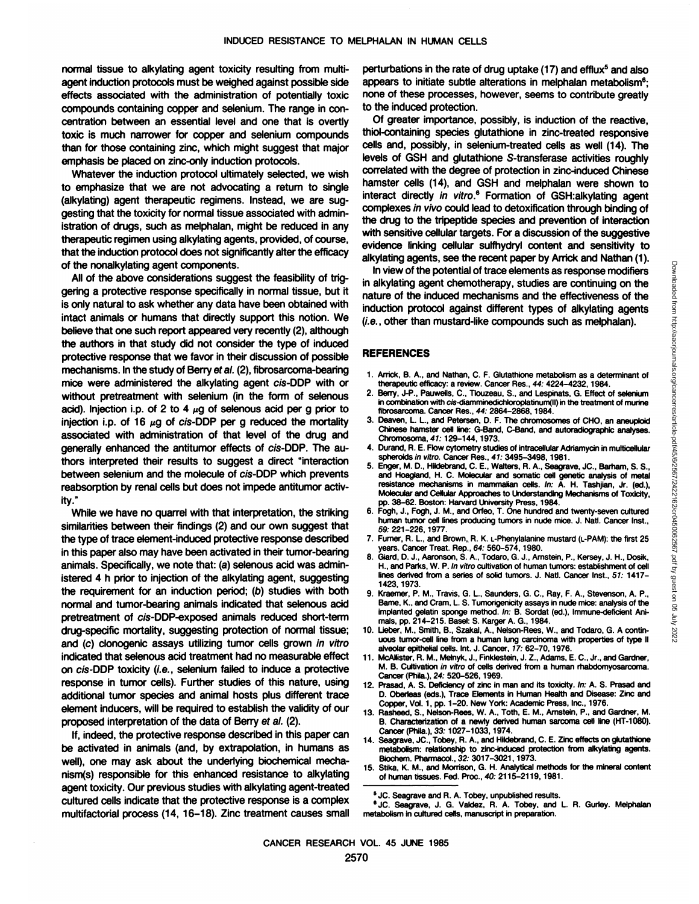normal tissue to alkylating agent toxicity resulting from multiagent induction protocols must be weighed against possible side effects associated with the administration of potentially toxic compounds containing copper and selenium. The range in con centration between an essential level and one that is overtly toxic is much narrower for copper and selenium compounds than for those containing zinc, which might suggest that major emphasis be placed on zinc-only induction protocols.

Whatever the induction protocol ultimately selected, we wish to emphasize that we are not advocating a return to single (alkylating) agent therapeutic regimens. Instead, we are sug gesting that the toxicity for normal tissue associated with admin istration of drugs, such as melphalan, might be reduced in any therapeutic regimen using alkylating agents, provided, of course, that the induction protocol does not significantly alter the efficacy of the nonalkylating agent components.

All of the above considerations suggest the feasibility of trig gering a protective response specifically in normal tissue, but it is only natural to ask whether any data have been obtained with intact animals or humans that directly support this notion. We believe that one such report appeared very recently (2), although the authors in that study did not consider the type of induced protective response that we favor in their discussion of possible mechanisms. In the study of Berry ef al. (2), fibrosarcoma-bearing mice were administered the alkylating agent cis-DDP with or without pretreatment with selenium (in the form of selenous acid). Injection i.p. of 2 to 4  $\mu$ g of selenous acid per g prior to injection i.p. of  $16 \mu$ g of cis-DDP per g reduced the mortality  $3.$  Deaven, L. L., and Petersen, D. F. The chromosomes of CHO, an aneuploid associated with administration of that level of the drug and generally enhanced the antitumor effects of cis-DDP. The authors interpreted their results to suggest a direct "interaction between selenium and the molecule of cis-DDP which prevents reabsorption by renal cells but does not impede antitumor activ ity.'

While we have no quarrel with that interpretation, the striking similarities between their findings (2) and our own suggest that the type of trace element-induced protective response described in this paper also may have been activated in their tumor-bearing  $\overline{\phantom{a}}_8$ animals. Specifically, we note that: (a) selenous acid was admin istered 4 h prior to injection of the alkylating agent, suggesting the requirement for an induction period; (b) studies with both normal and tumor-bearing animals indicated that selenous acid pretreatment of cis-DDP-exposed animals reduced short-term drug-specific mortality, suggesting protection of normal tissue; and (c) clonogenic assays utilizing tumor cells grown in vitro indicated that selenous acid treatment had no measurable effect on cis-DDP toxicity (i.e., selenium failed to induce a protective M. B. Cultivation in vitro of cells de<br>
cancer (Phila.), 24: 520–526, 1969. response in tumor cells). Further studies of this nature, using additional tumor species and animal hosts plus different trace element inducers, will be required to establish the validity of our proposed interpretation of the data of Berry ef al. (2).

If, indeed, the protective response described in this paper can be activated in animals (and, by extrapolation, in humans as well), one may ask about the underlying biochemical mecha-<br>15. nism(s) responsible for this enhanced resistance to alkylating agent toxicity. Our previous studies with alkylating agent-treated cultured cells indicate that the protective response is a complex multifactorial process (14, 16-18). Zinc treatment causes small

perturbations in the rate of drug uptake  $(17)$  and efflux<sup>5</sup> and also appears to initiate subtle alterations in melphalan metabolism<sup>6</sup>: none of these processes, however, seems to contribute greatly to the induced protection.

Of greater importance, possibly, is induction of the reactive, thiol-containing species glutathione in zinc-treated responsive cells and, possibly, in selenium-treated cells as well(14). The levels of GSH and glutathione S-transferase activities roughly correlated with the degree of protection in zinc-induced Chinese hamster cells (14), and GSH and melphalan were shown to interact directly in vitro.<sup>6</sup> Formation of GSH:alkylating agent complexes in vivo could lead to detoxification through binding of the drug to the tripeptide species and prevention of interaction with sensitive cellular targets. For a discussion of the suggestive evidence linking cellular sulfhydryl content and sensitivity to

alkylating agents, see the recent paper by Arrick and Nathan (1).<br>
In view of the potential of trace elements as response modifiers<br>
in alkylating agent chemotherapy, studies are continuing on the<br>
induction protocol agent In view of the potential of trace elements as response modifiers in alkylating agent chemotherapy, studies are continuing on the nature of the induced mechanisms and the effectiveness of the induction protocol against different types of alkylating agents  $(i.e., other than mustard-like compounds such as meiphalan).$ 

#### **REFERENCES**

- 1. Arrick, B. A., and Nathan, C. F. Glutathione metabolism as a determinant of therapeutic efficacy: a review. Cancer Res., 44: 4224-4232,1984.
- 2. Berry, J-P., Pauwells, C., Tlouzeau, S., and Lespinats, G. Effect of selenium in combination with cis-diamminedichloroplatinum(II) in the treatment of murine fibrosarcoma. Cancer Res., 44: 2864-2868,1984.
- Chinese hamster cell line: G-Band, C-Band, and autoradiographic analyses. Chromosoma,41:129-144,1973.
- 4. Durand, R. E. Flow cytometry studies of intracellular Adriamycin in multicellular spheroids in vitro. Cancer Res., 41:3495-3498,1981.
- 5. Enger, M. D., Hildebrand, C. E., Walters, R. A., Seagrave, JC., Barham, S. S., and Hoagland, H. C. Molecular and somatic cell genetic analysis of metal resistance mechanisms in mammalian cells. In: A. H. Tashjian, Jr. (ed.), Molecular and Cellular Approaches to Understanding Mechanisms of Toxicity, pp. 38-62. Boston: Harvard University Press, 1984.
- 6. Fogh, J., Fogh, J. M., and Orfeo, T. One hundred and twenty-seven cultured human tumor cell lines producing tumors in nude mice. J. Nati. Cancer Inst., 59: 221-226,1977.
- 7. Furner, R. L., and Brown, R. K. L-Phenylalanine mustard (L-PAM): the first 25 years. Cancer Treat. Rep., 64: 560-574, 1980.
- Giard, D. J., Aaronson, S. A., Todaro, G. J., Arnstein, P., Kersey, J. H., Dosik, H., and Parks, W. P. In vitro cultivation of human tumors: establishment of cell lines derived from a series of solid tumors. J. Nati. Cancer Inst., 51: 1417- 1423, 1973.
- 9. Kraemer, P. M., Travis, G. L., Saunders, G. C., Ray, F. A., Stevenson, A. P., Bame, K., and Cram, L. S. Tumorigenicityassays in nude mice: analysisof the implanted gelatin sponge method. In: B. Sordat (ed.), Immune-deficient Animals, pp. 214-215. Basel: S. Karger A. G., 1984.
- 10. Lieber, M., Smith, B., Szakal, A., Nelson-Rees, W., and Todaro, G. A continuous tumor-cell line from a human lung carcinoma with properties of type II alveolar epithelial cells. Int. J. Cancer, 17: 62-70, 1976.
- 11. McAllister, R. M., Melnyk, J., Finklestein, J. Z., Adams, E. C., Jr., and Gardner, M. B. Cultivation in vitro of cells derived from a human rhabdomyosarcoma.
- 12. Prasad, A. S. Deficiency of zinc in man and its toxicity. In: A. S. Prasad and D. Oberleas (eds.), Trace Elements in Human Health and Disease: Zinc and Copper, Vol. 1, pp. 1-20. New York: Academic Press, Inc., 1976.
- 13. Rasheed, S., Nelson-Rees, W. A., Toth, E. M., Amstein, P., and Gardner, M. B. Characterization of a newly derived human sarcoma cell line (HT-1080). Cancer (Phila.), 33: 1027-1033, 1974.
- 14. Seagrave, JC., Tobey, R. A., and Hildebrand, C. E. Zinc effects on glutathione metabolism: relationship to zinc-induced protection from alkylating agents. Btochem.Pharmacol.,32: 3017-3021,1973.
- 15. Stika, K. M., and Morrison, G. H. Analytical methods for the mineral content of human tissues. Fed. Proc., 40: 2115-2119,1981.

<sup>&</sup>lt;sup>5</sup> JC. Seagrave and R. A. Tobey, unpublished results.

<sup>&</sup>lt;sup>6</sup> JC. Seagrave, J. G. Valdez, R. A. Tobey, and L. R. Gurley. Melphalan metabolism in cultured cells, manuscript in preparation.